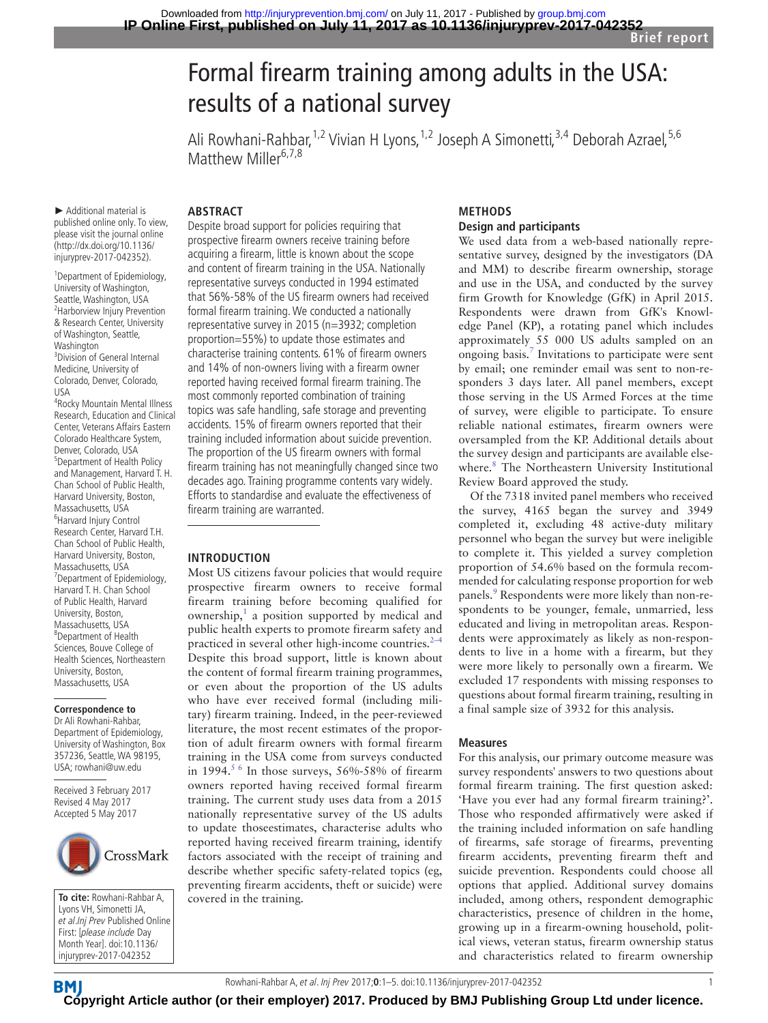# Formal firearm training among adults in the USA: results of a national survey

Ali Rowhani-Rahbar,<sup>1,2</sup> Vivian H Lyons,<sup>1,2</sup> Joseph A Simonetti,<sup>3,4</sup> Deborah Azrael,<sup>5,6</sup> Matthew Miller<sup>6,7,8</sup>

► Additional material is published online only. To view, please visit the journal online (http://dx.doi.org/10.1136/ injuryprev-2017-042352).

1 Department of Epidemiology, University of Washington, Seattle, Washington, USA <sup>2</sup> Harborview Injury Prevention & Research Center, University of Washington, Seattle, Washington 3 Division of General Internal Medicine, University of Colorado, Denver, Colorado, USA 4 Rocky Mountain Mental Illness Research, Education and Clinical Center, Veterans Affairs Eastern Colorado Healthcare System, Denver, Colorado, USA 5 Department of Health Policy and Management, Harvard T. H. Chan School of Public Health. Harvard University, Boston, Massachusetts, USA <sup>6</sup> Harvard Injury Control Research Center, Harvard T.H. Chan School of Public Health, Harvard University, Boston, Massachusetts, USA 7 Department of Epidemiology, Harvard T. H. Chan School of Public Health, Harvard University, Boston, Massachusetts, USA 8 Department of Health Sciences, Bouve College of Health Sciences, Northeastern

**Correspondence to**

University, Boston, Massachusetts, USA

Dr Ali Rowhani-Rahbar, Department of Epidemiology, University of Washington, Box 357236, Seattle, WA 98195, USA; rowhani@uw.edu

Received 3 February 2017 Revised 4 May 2017 Accepted 5 May 2017



**To cite:** Rowhani-Rahbar A, Lyons VH, Simonetti JA, et al.Inj Prev Published Online First: [please include Day Month Year]. doi:10.1136/ injuryprev-2017-042352

### **Abstract**

Despite broad support for policies requiring that prospective firearm owners receive training before acquiring a firearm, little is known about the scope and content of firearm training in the USA. Nationally representative surveys conducted in 1994 estimated that 56%-58% of the US firearm owners had received formal firearm training. We conducted a nationally representative survey in 2015 (n=3932; completion proportion=55%) to update those estimates and characterise training contents. 61% of firearm owners and 14% of non-owners living with a firearm owner reported having received formal firearm training. The most commonly reported combination of training topics was safe handling, safe storage and preventing accidents. 15% of firearm owners reported that their training included information about suicide prevention. The proportion of the US firearm owners with formal firearm training has not meaningfully changed since two decades ago. Training programme contents vary widely. Efforts to standardise and evaluate the effectiveness of firearm training are warranted.

#### **Introduction**

Most US citizens favour policies that would require prospective firearm owners to receive formal firearm training before becoming qualified for ownership, $\frac{1}{2}$  $\frac{1}{2}$  $\frac{1}{2}$  a position supported by medical and public health experts to promote firearm safety and practiced in several other high-income countries. $2-4$ Despite this broad support, little is known about the content of formal firearm training programmes, or even about the proportion of the US adults who have ever received formal (including military) firearm training. Indeed, in the peer-reviewed literature, the most recent estimates of the proportion of adult firearm owners with formal firearm training in the USA come from surveys conducted in 1994.<sup>[5 6](#page-4-2)</sup> In those surveys, 56%-58% of firearm owners reported having received formal firearm training. The current study uses data from a 2015 nationally representative survey of the US adults to update thoseestimates, characterise adults who reported having received firearm training, identify factors associated with the receipt of training and describe whether specific safety-related topics (eg, preventing firearm accidents, theft or suicide) were covered in the training.

## **Methods**

#### **Design and participants**

We used data from a web-based nationally representative survey, designed by the investigators (DA and MM) to describe firearm ownership, storage and use in the USA, and conducted by the survey firm Growth for Knowledge (GfK) in April 2015. Respondents were drawn from GfK's Knowledge Panel (KP), a rotating panel which includes approximately 55 000 US adults sampled on an ongoing basis.<sup>[7](#page-4-3)</sup> Invitations to participate were sent by email; one reminder email was sent to non-responders 3 days later. All panel members, except those serving in the US Armed Forces at the time of survey, were eligible to participate. To ensure reliable national estimates, firearm owners were oversampled from the KP. Additional details about the survey design and participants are available else-where.<sup>[8](#page-4-4)</sup> The Northeastern University Institutional Review Board approved the study.

Of the 7318 invited panel members who received the survey, 4165 began the survey and 3949 completed it, excluding 48 active-duty military personnel who began the survey but were ineligible to complete it. This yielded a survey completion proportion of 54.6% based on the formula recommended for calculating response proportion for web panels.<sup>[9](#page-4-5)</sup> Respondents were more likely than non-respondents to be younger, female, unmarried, less educated and living in metropolitan areas. Respondents were approximately as likely as non-respondents to live in a home with a firearm, but they were more likely to personally own a firearm. We excluded 17 respondents with missing responses to questions about formal firearm training, resulting in a final sample size of 3932 for this analysis.

#### **Measures**

For this analysis, our primary outcome measure was survey respondents' answers to two questions about formal firearm training. The first question asked: 'Have you ever had any formal firearm training?'. Those who responded affirmatively were asked if the training included information on safe handling of firearms, safe storage of firearms, preventing firearm accidents, preventing firearm theft and suicide prevention. Respondents could choose all options that applied. Additional survey domains included, among others, respondent demographic characteristics, presence of children in the home, growing up in a firearm-owning household, political views, veteran status, firearm ownership status and characteristics related to firearm ownership

**BM [Cop](http://emj.bmj.com/)yright Article author (or their employer) 2017. Produced by BMJ Publishing Group Ltd under licence.**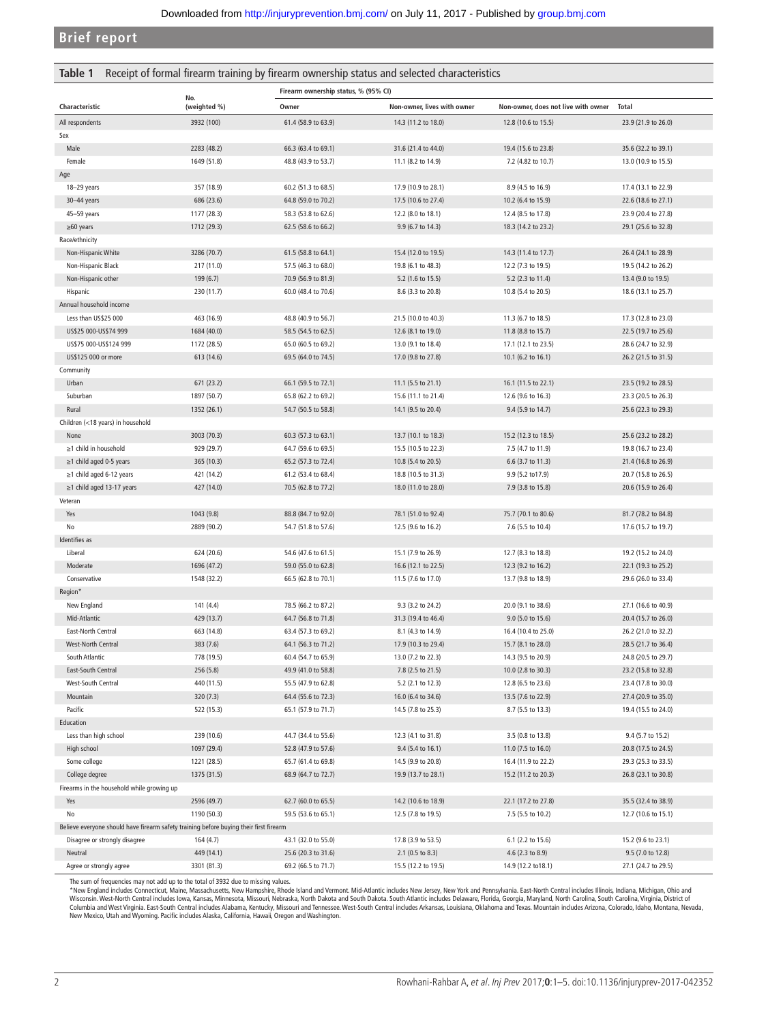**Brief report**

#### <span id="page-1-0"></span>**Table 1** Receipt of formal firearm training by firearm ownership status and selected characteristics

|                                                                                        |                     |                     | Firearm ownership status, % (95% CI) |                                     |                     |  |
|----------------------------------------------------------------------------------------|---------------------|---------------------|--------------------------------------|-------------------------------------|---------------------|--|
| Characteristic                                                                         | No.<br>(weighted %) | Owner               | Non-owner, lives with owner          | Non-owner, does not live with owner | <b>Total</b>        |  |
| All respondents                                                                        | 3932 (100)          | 61.4 (58.9 to 63.9) | 14.3 (11.2 to 18.0)                  | 12.8 (10.6 to 15.5)                 | 23.9 (21.9 to 26.0) |  |
| Sex                                                                                    |                     |                     |                                      |                                     |                     |  |
| Male                                                                                   | 2283 (48.2)         | 66.3 (63.4 to 69.1) | 31.6 (21.4 to 44.0)                  | 19.4 (15.6 to 23.8)                 | 35.6 (32.2 to 39.1) |  |
| Female                                                                                 | 1649 (51.8)         | 48.8 (43.9 to 53.7) | 11.1 (8.2 to 14.9)                   | 7.2 (4.82 to 10.7)                  | 13.0 (10.9 to 15.5) |  |
| Age                                                                                    |                     |                     |                                      |                                     |                     |  |
| 18-29 years                                                                            | 357 (18.9)          | 60.2 (51.3 to 68.5) | 17.9 (10.9 to 28.1)                  | 8.9 (4.5 to 16.9)                   | 17.4 (13.1 to 22.9) |  |
| 30-44 years                                                                            | 686 (23.6)          | 64.8 (59.0 to 70.2) | 17.5 (10.6 to 27.4)                  | 10.2 (6.4 to 15.9)                  | 22.6 (18.6 to 27.1) |  |
| 45-59 years                                                                            | 1177 (28.3)         | 58.3 (53.8 to 62.6) | 12.2 (8.0 to 18.1)                   | 12.4 (8.5 to 17.8)                  | 23.9 (20.4 to 27.8) |  |
| $\geq 60$ years                                                                        | 1712 (29.3)         | 62.5 (58.6 to 66.2) | 9.9 (6.7 to 14.3)                    | 18.3 (14.2 to 23.2)                 | 29.1 (25.6 to 32.8) |  |
| Race/ethnicity                                                                         |                     |                     |                                      |                                     |                     |  |
| Non-Hispanic White                                                                     | 3286 (70.7)         | 61.5 (58.8 to 64.1) | 15.4 (12.0 to 19.5)                  | 14.3 (11.4 to 17.7)                 | 26.4 (24.1 to 28.9) |  |
| Non-Hispanic Black                                                                     | 217 (11.0)          | 57.5 (46.3 to 68.0) | 19.8 (6.1 to 48.3)                   | 12.2 (7.3 to 19.5)                  | 19.5 (14.2 to 26.2) |  |
| Non-Hispanic other                                                                     | 199 (6.7)           | 70.9 (56.9 to 81.9) | 5.2 (1.6 to 15.5)                    | 5.2 (2.3 to 11.4)                   | 13.4 (9.0 to 19.5)  |  |
| Hispanic                                                                               | 230 (11.7)          | 60.0 (48.4 to 70.6) | 8.6 (3.3 to 20.8)                    | 10.8 (5.4 to 20.5)                  | 18.6 (13.1 to 25.7) |  |
| Annual household income                                                                |                     |                     |                                      |                                     |                     |  |
| Less than US\$25 000                                                                   | 463 (16.9)          | 48.8 (40.9 to 56.7) | 21.5 (10.0 to 40.3)                  | 11.3 (6.7 to 18.5)                  | 17.3 (12.8 to 23.0) |  |
| US\$25 000-US\$74 999                                                                  | 1684 (40.0)         | 58.5 (54.5 to 62.5) | 12.6 (8.1 to 19.0)                   | 11.8 (8.8 to 15.7)                  | 22.5 (19.7 to 25.6) |  |
| US\$75 000-US\$124 999                                                                 | 1172 (28.5)         | 65.0 (60.5 to 69.2) | 13.0 (9.1 to 18.4)                   | 17.1 (12.1 to 23.5)                 | 28.6 (24.7 to 32.9) |  |
| US\$125 000 or more                                                                    | 613 (14.6)          | 69.5 (64.0 to 74.5) | 17.0 (9.8 to 27.8)                   | 10.1 (6.2 to 16.1)                  | 26.2 (21.5 to 31.5) |  |
| Community                                                                              |                     |                     |                                      |                                     |                     |  |
| Urban                                                                                  | 671 (23.2)          | 66.1 (59.5 to 72.1) | 11.1 (5.5 to 21.1)                   | 16.1 (11.5 to 22.1)                 | 23.5 (19.2 to 28.5) |  |
| Suburban                                                                               | 1897 (50.7)         | 65.8 (62.2 to 69.2) | 15.6 (11.1 to 21.4)                  | 12.6 (9.6 to 16.3)                  | 23.3 (20.5 to 26.3) |  |
| Rural                                                                                  | 1352 (26.1)         | 54.7 (50.5 to 58.8) | 14.1 (9.5 to 20.4)                   | 9.4 (5.9 to 14.7)                   | 25.6 (22.3 to 29.3) |  |
| Children (<18 years) in household                                                      |                     |                     |                                      |                                     |                     |  |
| None                                                                                   | 3003 (70.3)         | 60.3 (57.3 to 63.1) | 13.7 (10.1 to 18.3)                  | 15.2 (12.3 to 18.5)                 | 25.6 (23.2 to 28.2) |  |
| $\geq$ 1 child in household                                                            | 929 (29.7)          | 64.7 (59.6 to 69.5) | 15.5 (10.5 to 22.3)                  | 7.5 (4.7 to 11.9)                   | 19.8 (16.7 to 23.4) |  |
| $\geq$ 1 child aged 0-5 years                                                          | 365 (10.3)          | 65.2 (57.3 to 72.4) | 10.8 (5.4 to 20.5)                   | 6.6 (3.7 to 11.3)                   | 21.4 (16.8 to 26.9) |  |
| $\geq$ 1 child aged 6-12 years                                                         | 421 (14.2)          | 61.2 (53.4 to 68.4) | 18.8 (10.5 to 31.3)                  | 9.9 (5.2 to 17.9)                   | 20.7 (15.8 to 26.5) |  |
| $\geq$ 1 child aged 13-17 years                                                        | 427 (14.0)          | 70.5 (62.8 to 77.2) | 18.0 (11.0 to 28.0)                  | 7.9 (3.8 to 15.8)                   | 20.6 (15.9 to 26.4) |  |
| Veteran                                                                                |                     |                     |                                      |                                     |                     |  |
| Yes                                                                                    | 1043 (9.8)          | 88.8 (84.7 to 92.0) | 78.1 (51.0 to 92.4)                  | 75.7 (70.1 to 80.6)                 | 81.7 (78.2 to 84.8) |  |
| No                                                                                     | 2889 (90.2)         | 54.7 (51.8 to 57.6) | 12.5 (9.6 to 16.2)                   | 7.6 (5.5 to 10.4)                   | 17.6 (15.7 to 19.7) |  |
| Identifies as                                                                          |                     |                     |                                      |                                     |                     |  |
| Liberal                                                                                | 624 (20.6)          | 54.6 (47.6 to 61.5) | 15.1 (7.9 to 26.9)                   | 12.7 (8.3 to 18.8)                  | 19.2 (15.2 to 24.0) |  |
| Moderate                                                                               | 1696 (47.2)         | 59.0 (55.0 to 62.8) | 16.6 (12.1 to 22.5)                  | 12.3 (9.2 to 16.2)                  | 22.1 (19.3 to 25.2) |  |
| Conservative                                                                           | 1548 (32.2)         | 66.5 (62.8 to 70.1) | 11.5 (7.6 to 17.0)                   | 13.7 (9.8 to 18.9)                  | 29.6 (26.0 to 33.4) |  |
| Region*                                                                                |                     |                     |                                      |                                     |                     |  |
| New England                                                                            | 141 (4.4)           | 78.5 (66.2 to 87.2) | 9.3 (3.2 to 24.2)                    | 20.0 (9.1 to 38.6)                  | 27.1 (16.6 to 40.9) |  |
| Mid-Atlantic                                                                           | 429 (13.7)          | 64.7 (56.8 to 71.8) | 31.3 (19.4 to 46.4)                  | 9.0 (5.0 to 15.6)                   | 20.4 (15.7 to 26.0) |  |
| East-North Central                                                                     | 663 (14.8)          | 63.4 (57.3 to 69.2) | 8.1 (4.3 to 14.9)                    | 16.4 (10.4 to 25.0)                 | 26.2 (21.0 to 32.2) |  |
| West-North Central                                                                     | 383 (7.6)           | 64.1 (56.3 to 71.2) | 17.9 (10.3 to 29.4)                  | 15.7 (8.1 to 28.0)                  | 28.5 (21.7 to 36.4) |  |
| South Atlantic                                                                         | 778 (19.5)          | 60.4 (54.7 to 65.9) | 13.0 (7.2 to 22.3)                   | 14.3 (9.5 to 20.9)                  | 24.8 (20.5 to 29.7) |  |
| East-South Central                                                                     | 256 (5.8)           | 49.9 (41.0 to 58.8) | 7.8 (2.5 to 21.5)                    | 10.0 (2.8 to 30.3)                  | 23.2 (15.8 to 32.8) |  |
| West-South Central                                                                     | 440 (11.5)          | 55.5 (47.9 to 62.8) | 5.2 (2.1 to 12.3)                    | 12.8 (6.5 to 23.6)                  | 23.4 (17.8 to 30.0) |  |
| Mountain                                                                               | 320 (7.3)           | 64.4 (55.6 to 72.3) | 16.0 (6.4 to 34.6)                   | 13.5 (7.6 to 22.9)                  | 27.4 (20.9 to 35.0) |  |
| Pacific                                                                                | 522 (15.3)          | 65.1 (57.9 to 71.7) | 14.5 (7.8 to 25.3)                   | 8.7 (5.5 to 13.3)                   | 19.4 (15.5 to 24.0) |  |
| Education                                                                              |                     |                     |                                      |                                     |                     |  |
| Less than high school                                                                  | 239 (10.6)          | 44.7 (34.4 to 55.6) | 12.3 (4.1 to 31.8)                   | 3.5 (0.8 to 13.8)                   | 9.4 (5.7 to 15.2)   |  |
| High school                                                                            | 1097 (29.4)         | 52.8 (47.9 to 57.6) | 9.4 (5.4 to 16.1)                    | 11.0 (7.5 to 16.0)                  | 20.8 (17.5 to 24.5) |  |
| Some college                                                                           | 1221 (28.5)         | 65.7 (61.4 to 69.8) | 14.5 (9.9 to 20.8)                   | 16.4 (11.9 to 22.2)                 | 29.3 (25.3 to 33.5) |  |
| College degree                                                                         | 1375 (31.5)         | 68.9 (64.7 to 72.7) | 19.9 (13.7 to 28.1)                  | 15.2 (11.2 to 20.3)                 | 26.8 (23.1 to 30.8) |  |
| Firearms in the household while growing up                                             |                     |                     |                                      |                                     |                     |  |
| Yes                                                                                    | 2596 (49.7)         | 62.7 (60.0 to 65.5) | 14.2 (10.6 to 18.9)                  | 22.1 (17.2 to 27.8)                 | 35.5 (32.4 to 38.9) |  |
| No                                                                                     | 1190 (50.3)         | 59.5 (53.6 to 65.1) | 12.5 (7.8 to 19.5)                   | 7.5 (5.5 to 10.2)                   | 12.7 (10.6 to 15.1) |  |
| Believe everyone should have firearm safety training before buying their first firearm |                     |                     |                                      |                                     |                     |  |
| Disagree or strongly disagree                                                          | 164(4.7)            | 43.1 (32.0 to 55.0) | 17.8 (3.9 to 53.5)                   | 6.1 (2.2 to 15.6)                   | 15.2 (9.6 to 23.1)  |  |
| Neutral                                                                                | 449 (14.1)          | 25.6 (20.3 to 31.6) | 2.1 (0.5 to 8.3)                     | 4.6 (2.3 to 8.9)                    | 9.5 (7.0 to 12.8)   |  |
| Agree or strongly agree                                                                | 3301 (81.3)         | 69.2 (66.5 to 71.7) | 15.5 (12.2 to 19.5)                  | 14.9 (12.2 to 18.1)                 | 27.1 (24.7 to 29.5) |  |

The sum of frequencies may not add up to the total of 3932 due to missing values.<br>\*New England includes Connecticut, Maine, Masschusetts, New Hampshire, Rhode Island and Vermont. Mid-Atlantic includes New Jersey, New York New Mexico, Utah and Wyoming. Pacific includes Alaska, California, Hawaii, Oregon and Washington.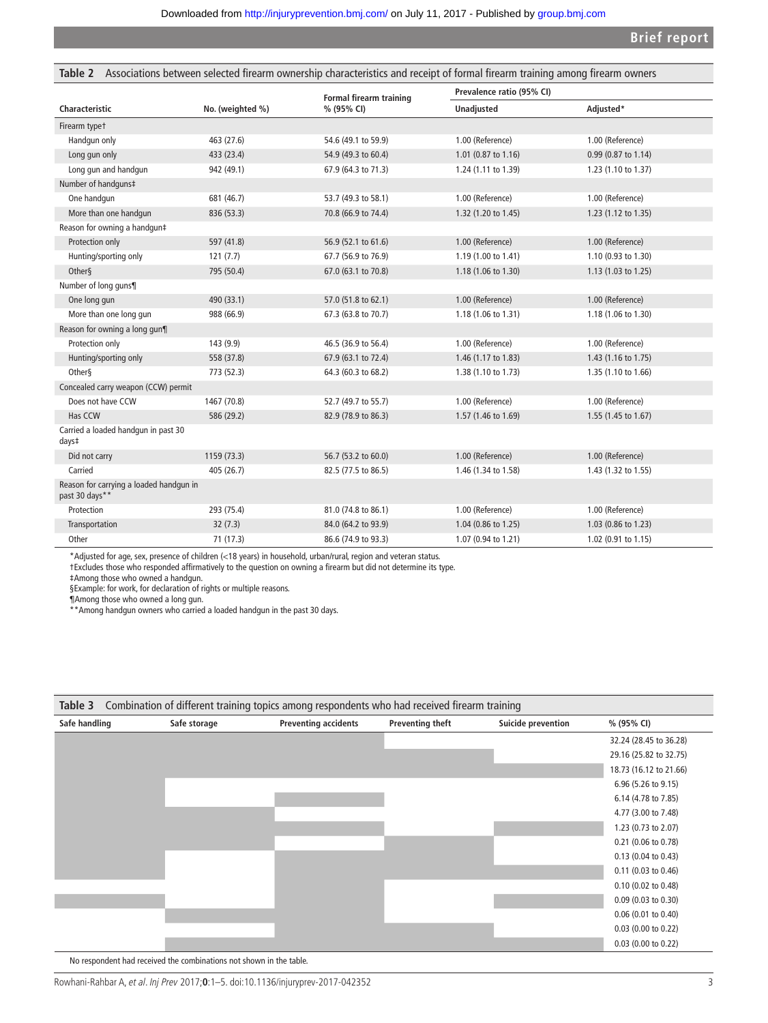<span id="page-2-0"></span>

|  | Table 2 Associations between selected firearm ownership characteristics and receipt of formal firearm training among firearm owners |
|--|-------------------------------------------------------------------------------------------------------------------------------------|
|  |                                                                                                                                     |

|                                                           | <b>able 2</b> Associations between sciected incanni ownership characteristics and receipt or formar incanni training among incanni owners |                                |                           |                     |  |
|-----------------------------------------------------------|-------------------------------------------------------------------------------------------------------------------------------------------|--------------------------------|---------------------------|---------------------|--|
|                                                           |                                                                                                                                           | <b>Formal firearm training</b> | Prevalence ratio (95% CI) |                     |  |
| Characteristic                                            | No. (weighted %)                                                                                                                          | % (95% CI)                     | <b>Unadjusted</b>         | Adjusted*           |  |
| Firearm typet                                             |                                                                                                                                           |                                |                           |                     |  |
| Handgun only                                              | 463 (27.6)                                                                                                                                | 54.6 (49.1 to 59.9)            | 1.00 (Reference)          | 1.00 (Reference)    |  |
| Long gun only                                             | 433 (23.4)                                                                                                                                | 54.9 (49.3 to 60.4)            | 1.01 (0.87 to 1.16)       | 0.99 (0.87 to 1.14) |  |
| Long gun and handgun                                      | 942 (49.1)                                                                                                                                | 67.9 (64.3 to 71.3)            | 1.24 (1.11 to 1.39)       | 1.23 (1.10 to 1.37) |  |
| Number of handguns‡                                       |                                                                                                                                           |                                |                           |                     |  |
| One handqun                                               | 681 (46.7)                                                                                                                                | 53.7 (49.3 to 58.1)            | 1.00 (Reference)          | 1.00 (Reference)    |  |
| More than one handgun                                     | 836 (53.3)                                                                                                                                | 70.8 (66.9 to 74.4)            | 1.32 (1.20 to 1.45)       | 1.23 (1.12 to 1.35) |  |
| Reason for owning a handgun‡                              |                                                                                                                                           |                                |                           |                     |  |
| Protection only                                           | 597 (41.8)                                                                                                                                | 56.9 (52.1 to 61.6)            | 1.00 (Reference)          | 1.00 (Reference)    |  |
| Hunting/sporting only                                     | 121(7.7)                                                                                                                                  | 67.7 (56.9 to 76.9)            | 1.19 (1.00 to 1.41)       | 1.10 (0.93 to 1.30) |  |
| Other§                                                    | 795 (50.4)                                                                                                                                | 67.0 (63.1 to 70.8)            | 1.18 (1.06 to 1.30)       | 1.13 (1.03 to 1.25) |  |
| Number of long guns¶                                      |                                                                                                                                           |                                |                           |                     |  |
| One long gun                                              | 490 (33.1)                                                                                                                                | 57.0 (51.8 to 62.1)            | 1.00 (Reference)          | 1.00 (Reference)    |  |
| More than one long gun                                    | 988 (66.9)                                                                                                                                | 67.3 (63.8 to 70.7)            | 1.18 (1.06 to 1.31)       | 1.18 (1.06 to 1.30) |  |
| Reason for owning a long gun¶                             |                                                                                                                                           |                                |                           |                     |  |
| Protection only                                           | 143 (9.9)                                                                                                                                 | 46.5 (36.9 to 56.4)            | 1.00 (Reference)          | 1.00 (Reference)    |  |
| Hunting/sporting only                                     | 558 (37.8)                                                                                                                                | 67.9 (63.1 to 72.4)            | 1.46 (1.17 to 1.83)       | 1.43 (1.16 to 1.75) |  |
| Other§                                                    | 773 (52.3)                                                                                                                                | 64.3 (60.3 to 68.2)            | 1.38 (1.10 to 1.73)       | 1.35 (1.10 to 1.66) |  |
| Concealed carry weapon (CCW) permit                       |                                                                                                                                           |                                |                           |                     |  |
| Does not have CCW                                         | 1467 (70.8)                                                                                                                               | 52.7 (49.7 to 55.7)            | 1.00 (Reference)          | 1.00 (Reference)    |  |
| Has CCW                                                   | 586 (29.2)                                                                                                                                | 82.9 (78.9 to 86.3)            | 1.57 (1.46 to 1.69)       | 1.55 (1.45 to 1.67) |  |
| Carried a loaded handqun in past 30<br>days‡              |                                                                                                                                           |                                |                           |                     |  |
| Did not carry                                             | 1159 (73.3)                                                                                                                               | 56.7 (53.2 to 60.0)            | 1.00 (Reference)          | 1.00 (Reference)    |  |
| Carried                                                   | 405 (26.7)                                                                                                                                | 82.5 (77.5 to 86.5)            | 1.46 (1.34 to 1.58)       | 1.43 (1.32 to 1.55) |  |
| Reason for carrying a loaded handgun in<br>past 30 days** |                                                                                                                                           |                                |                           |                     |  |
| Protection                                                | 293 (75.4)                                                                                                                                | 81.0 (74.8 to 86.1)            | 1.00 (Reference)          | 1.00 (Reference)    |  |
| Transportation                                            | 32(7.3)                                                                                                                                   | 84.0 (64.2 to 93.9)            | 1.04 (0.86 to 1.25)       | 1.03 (0.86 to 1.23) |  |
| Other                                                     | 71 (17.3)                                                                                                                                 | 86.6 (74.9 to 93.3)            | 1.07 (0.94 to 1.21)       | 1.02 (0.91 to 1.15) |  |

\*Adjusted for age, sex, presence of children (<18 years) in household, urban/rural, region and veteran status.

†Excludes those who responded affirmatively to the question on owning a firearm but did not determine its type.

‡Among those who owned a handgun.

§Example: for work, for declaration of rights or multiple reasons.

¶Among those who owned a long gun.

\*\*Among handgun owners who carried a loaded handgun in the past 30 days.

<span id="page-2-1"></span>

| Combination of different training topics among respondents who had received firearm training<br>Table 3 |              |                             |                         |                    |                        |
|---------------------------------------------------------------------------------------------------------|--------------|-----------------------------|-------------------------|--------------------|------------------------|
| Safe handling                                                                                           | Safe storage | <b>Preventing accidents</b> | <b>Preventing theft</b> | Suicide prevention | % (95% CI)             |
|                                                                                                         |              |                             |                         |                    | 32.24 (28.45 to 36.28) |
|                                                                                                         |              |                             |                         |                    | 29.16 (25.82 to 32.75) |
|                                                                                                         |              |                             |                         |                    | 18.73 (16.12 to 21.66) |
|                                                                                                         |              |                             |                         |                    | 6.96 (5.26 to 9.15)    |
|                                                                                                         |              |                             |                         |                    | 6.14 (4.78 to 7.85)    |
|                                                                                                         |              |                             |                         |                    | 4.77 (3.00 to 7.48)    |
|                                                                                                         |              |                             |                         |                    | 1.23 (0.73 to 2.07)    |
|                                                                                                         |              |                             |                         |                    | 0.21 (0.06 to 0.78)    |
|                                                                                                         |              |                             |                         |                    | $0.13$ (0.04 to 0.43)  |
|                                                                                                         |              |                             |                         |                    | 0.11 (0.03 to 0.46)    |
|                                                                                                         |              |                             |                         |                    | 0.10 (0.02 to 0.48)    |
|                                                                                                         |              |                             |                         |                    | 0.09 (0.03 to 0.30)    |
|                                                                                                         |              |                             |                         |                    | 0.06 (0.01 to 0.40)    |
|                                                                                                         |              |                             |                         |                    | 0.03 (0.00 to 0.22)    |
|                                                                                                         |              |                             |                         |                    | 0.03 (0.00 to 0.22)    |

No respondent had received the combinations not shown in the table.

Rowhani-Rahbar A, et al. Inj Prev 2017;**0**:1–5. doi:10.1136/injuryprev-2017-042352 3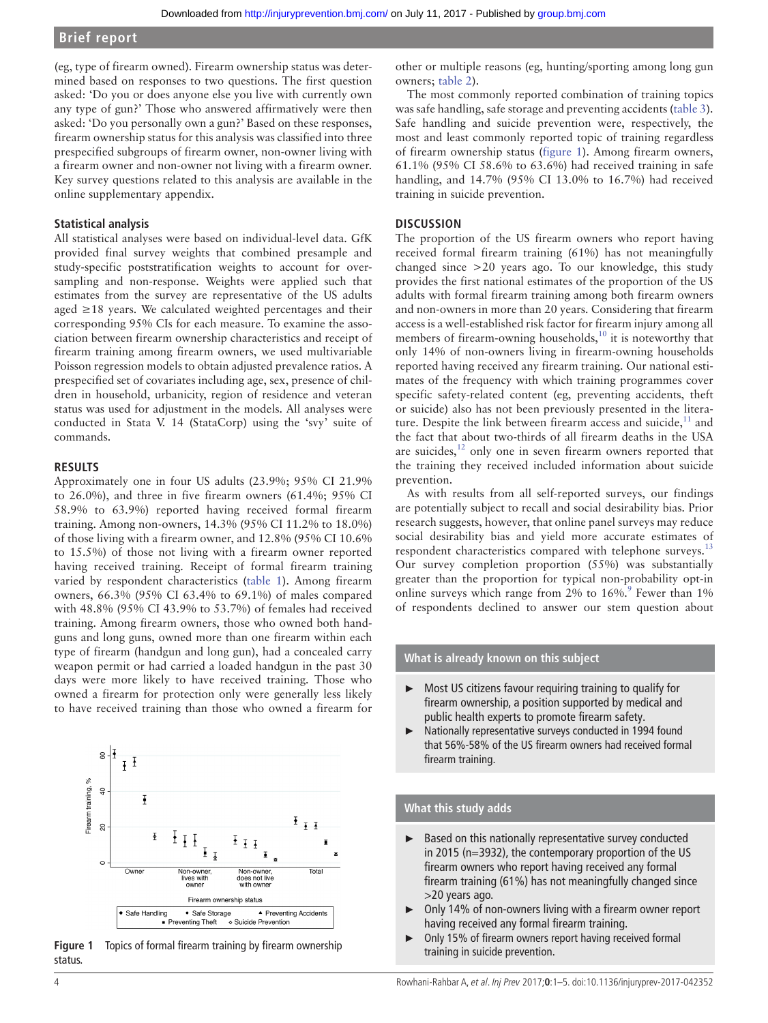**Brief report**

(eg, type of firearm owned). Firearm ownership status was determined based on responses to two questions. The first question asked: 'Do you or does anyone else you live with currently own any type of gun?' Those who answered affirmatively were then asked: 'Do you personally own a gun?' Based on these responses, firearm ownership status for this analysis was classified into three prespecified subgroups of firearm owner, non-owner living with a firearm owner and non-owner not living with a firearm owner. Key survey questions related to this analysis are available in the online [supplementary appendix.](https://dx.doi.org/10.1136/injuryprev-2017-042352)

#### **Statistical analysis**

All statistical analyses were based on individual-level data. GfK provided final survey weights that combined presample and study-specific poststratification weights to account for oversampling and non-response. Weights were applied such that estimates from the survey are representative of the US adults aged  $\geq$ 18 years. We calculated weighted percentages and their corresponding 95% CIs for each measure. To examine the association between firearm ownership characteristics and receipt of firearm training among firearm owners, we used multivariable Poisson regression models to obtain adjusted prevalence ratios. A prespecified set of covariates including age, sex, presence of children in household, urbanicity, region of residence and veteran status was used for adjustment in the models. All analyses were conducted in Stata V. 14 (StataCorp) using the 'svy' suite of commands.

#### **Results**

Approximately one in four US adults (23.9%; 95% CI 21.9% to 26.0%), and three in five firearm owners (61.4%; 95% CI 58.9% to 63.9%) reported having received formal firearm training. Among non-owners, 14.3% (95% CI 11.2% to 18.0%) of those living with a firearm owner, and 12.8% (95% CI 10.6% to 15.5%) of those not living with a firearm owner reported having received training. Receipt of formal firearm training varied by respondent characteristics [\(table](#page-1-0) 1). Among firearm owners, 66.3% (95% CI 63.4% to 69.1%) of males compared with 48.8% (95% CI 43.9% to 53.7%) of females had received training. Among firearm owners, those who owned both handguns and long guns, owned more than one firearm within each type of firearm (handgun and long gun), had a concealed carry weapon permit or had carried a loaded handgun in the past 30 days were more likely to have received training. Those who owned a firearm for protection only were generally less likely to have received training than those who owned a firearm for



<span id="page-3-0"></span>**Figure 1** Topics of formal firearm training by firearm ownership status.

other or multiple reasons (eg, hunting/sporting among long gun owners; [table](#page-2-0) 2).

The most commonly reported combination of training topics was safe handling, safe storage and preventing accidents ([table](#page-2-1) 3). Safe handling and suicide prevention were, respectively, the most and least commonly reported topic of training regardless of firearm ownership status [\(figure](#page-3-0) 1). Among firearm owners, 61.1% (95% CI 58.6% to 63.6%) had received training in safe handling, and 14.7% (95% CI 13.0% to 16.7%) had received training in suicide prevention.

#### **Discussion**

The proportion of the US firearm owners who report having received formal firearm training (61%) has not meaningfully changed since >20 years ago. To our knowledge, this study provides the first national estimates of the proportion of the US adults with formal firearm training among both firearm owners and non-owners in more than 20 years. Considering that firearm access is a well-established risk factor for firearm injury among all members of firearm-owning households, $10$  it is noteworthy that only 14% of non-owners living in firearm-owning households reported having received any firearm training. Our national estimates of the frequency with which training programmes cover specific safety-related content (eg, preventing accidents, theft or suicide) also has not been previously presented in the literature. Despite the link between firearm access and suicide, $11$  and the fact that about two-thirds of all firearm deaths in the USA are suicides, $12$  only one in seven firearm owners reported that the training they received included information about suicide prevention.

As with results from all self-reported surveys, our findings are potentially subject to recall and social desirability bias. Prior research suggests, however, that online panel surveys may reduce social desirability bias and yield more accurate estimates of respondent characteristics compared with telephone surveys.<sup>[13](#page-4-9)</sup> Our survey completion proportion (55%) was substantially greater than the proportion for typical non-probability opt-in online surveys which range from 2% to  $16\%$ .<sup>[9](#page-4-5)</sup> Fewer than  $1\%$ of respondents declined to answer our stem question about

#### **What is already known on this subject**

- ► Most US citizens favour requiring training to qualify for firearm ownership, a position supported by medical and public health experts to promote firearm safety.
- ► Nationally representative surveys conducted in 1994 found that 56%-58% of the US firearm owners had received formal firearm training.

#### **What this study adds**

- ► Based on this nationally representative survey conducted in 2015 (n=3932), the contemporary proportion of the US firearm owners who report having received any formal firearm training (61%) has not meaningfully changed since >20 years ago.
- Only 14% of non-owners living with a firearm owner report having received any formal firearm training.
- Only 15% of firearm owners report having received formal training in suicide prevention.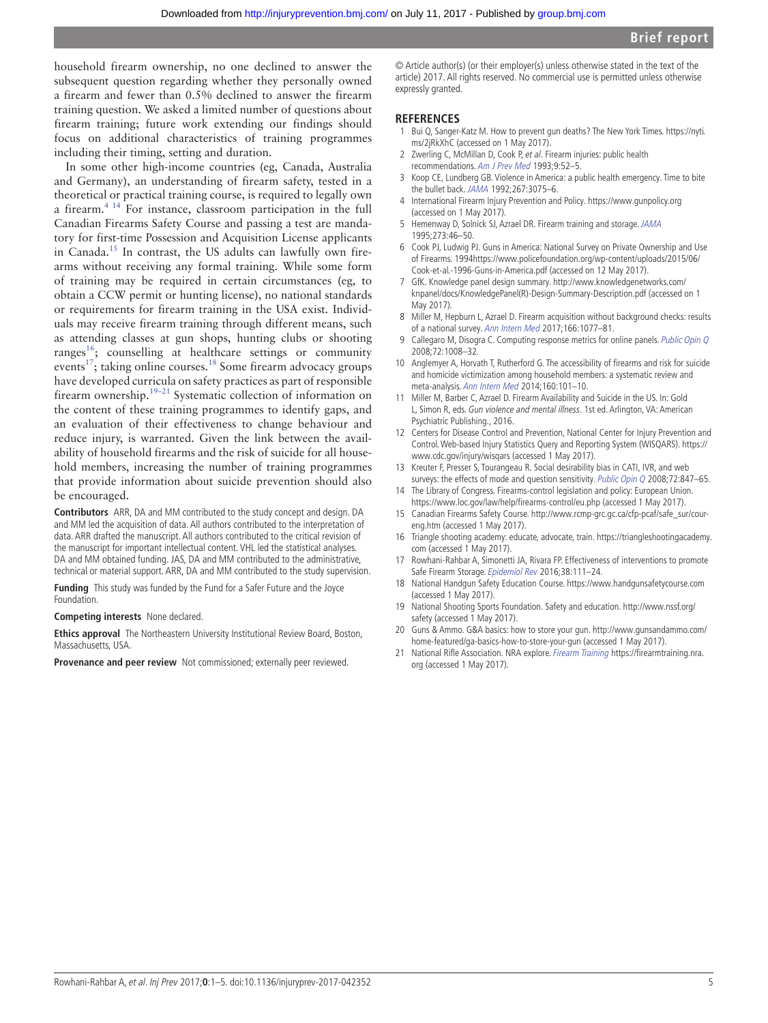household firearm ownership, no one declined to answer the subsequent question regarding whether they personally owned a firearm and fewer than 0.5% declined to answer the firearm training question. We asked a limited number of questions about firearm training; future work extending our findings should focus on additional characteristics of training programmes including their timing, setting and duration.

In some other high-income countries (eg, Canada, Australia and Germany), an understanding of firearm safety, tested in a theoretical or practical training course, is required to legally own a firearm[.4 14](#page-4-10) For instance, classroom participation in the full Canadian Firearms Safety Course and passing a test are mandatory for first-time Possession and Acquisition License applicants in Canada.<sup>[15](#page-4-11)</sup> In contrast, the US adults can lawfully own firearms without receiving any formal training. While some form of training may be required in certain circumstances (eg, to obtain a CCW permit or hunting license), no national standards or requirements for firearm training in the USA exist. Individuals may receive firearm training through different means, such as attending classes at gun shops, hunting clubs or shooting ranges<sup>[16](#page-4-12)</sup>; counselling at healthcare settings or community events<sup>17</sup>; taking online courses.<sup>[18](#page-4-14)</sup> Some firearm advocacy groups have developed curricula on safety practices as part of responsible firearm ownership.<sup>[19–21](#page-4-15)</sup> Systematic collection of information on the content of these training programmes to identify gaps, and an evaluation of their effectiveness to change behaviour and reduce injury, is warranted. Given the link between the availability of household firearms and the risk of suicide for all household members, increasing the number of training programmes that provide information about suicide prevention should also be encouraged.

**Contributors** ARR, DA and MM contributed to the study concept and design. DA and MM led the acquisition of data. All authors contributed to the interpretation of data. ARR drafted the manuscript. All authors contributed to the critical revision of the manuscript for important intellectual content. VHL led the statistical analyses. DA and MM obtained funding. JAS, DA and MM contributed to the administrative, technical or material support. ARR, DA and MM contributed to the study supervision.

**Funding** This study was funded by the Fund for a Safer Future and the Joyce Foundation.

**Competing interests** None declared.

**Ethics approval** The Northeastern University Institutional Review Board, Boston, Massachusetts, USA.

**Provenance and peer review** Not commissioned; externally peer reviewed.

© Article author(s) (or their employer(s) unless otherwise stated in the text of the article) 2017. All rights reserved. No commercial use is permitted unless otherwise expressly granted.

#### **References**

- <span id="page-4-0"></span>1 Bui Q, Sanger-Katz M. How to prevent gun deaths? The New York Times. [https://nyti.](https://nyti.ms/2jRkXhC) [ms/2jRkXhC](https://nyti.ms/2jRkXhC) (accessed on 1 May 2017).
- <span id="page-4-1"></span>2 Zwerling C, McMillan D, Cook P, et al. Firearm injuries: public health recommendations. Am J Prev Med 1993;9:52–5.
- 3 Koop CE, Lundberg GB. Violence in America: a public health emergency. Time to bite the bullet back. JAMA 1992;267:3075–6.
- <span id="page-4-10"></span>4 International Firearm Injury Prevention and Policy.<https://www.gunpolicy.org> (accessed on 1 May 2017).
- <span id="page-4-2"></span>5 Hemenway D, Solnick SJ, Azrael DR. Firearm training and storage. JAMA 1995;273:46–50.
- 6 Cook PJ, Ludwig PJ. Guns in America: National Survey on Private Ownership and Use of Firearms. 199[4https://www.policefoundation.org/wp-content/uploads/2015/06/](https://www.policefoundation.org/wp-content/uploads/2015/06/Cook-et-al.-1996-Guns-in-America.pdf) [Cook-et-al.-1996-Guns-in-America.pdf](https://www.policefoundation.org/wp-content/uploads/2015/06/Cook-et-al.-1996-Guns-in-America.pdf) (accessed on 12 May 2017).
- <span id="page-4-3"></span>7 GfK. Knowledge panel design summary. [http://www.knowledgenetworks.com/](http://www.knowledgenetworks.com/knpanel/docs/KnowledgePanel(R)-Design-Summary-Description.pdf) [knpanel/docs/KnowledgePanel\(R\)-Design-Summary-Description.pdf](http://www.knowledgenetworks.com/knpanel/docs/KnowledgePanel(R)-Design-Summary-Description.pdf) (accessed on 1 May 2017).
- <span id="page-4-4"></span>8 Miller M, Hepburn L, Azrael D. Firearm acquisition without background checks: results of a national survey. [Ann Intern Med](http://dx.doi.org/10.7326/M16-1590) 2017;166:1077–81.
- <span id="page-4-5"></span>9 Callegaro M, Disogra C. Computing response metrics for online panels. Public Opin Q 2008;72:1008–32.
- <span id="page-4-6"></span>10 Anglemyer A, Horvath T, Rutherford G. The accessibility of firearms and risk for suicide and homicide victimization among household members: a systematic review and meta-analysis. [Ann Intern Med](http://dx.doi.org/10.7326/M13-1301) 2014;160:101–10.
- <span id="page-4-7"></span>11 Miller M, Barber C, Azrael D. Firearm Availability and Suicide in the US. In: Gold L, Simon R, eds. Gun violence and mental illness. 1st ed. Arlington, VA: American Psychiatric Publishing., 2016.
- <span id="page-4-8"></span>12 Centers for Disease Control and Prevention, National Center for Injury Prevention and Control. Web-based Injury Statistics Query and Reporting System (WISQARS). [https://](https://www.cdc.gov/injury/wisqars) [www.cdc.gov/injury/wisqars](https://www.cdc.gov/injury/wisqars) (accessed 1 May 2017).
- <span id="page-4-9"></span>13 Kreuter F, Presser S, Tourangeau R. Social desirability bias in CATI, IVR, and web
- surveys: the effects of mode and question sensitivity. Public Opin Q 2008;72:847–65. 14 The Library of Congress. Firearms-control legislation and policy: European Union.
- <https://www.loc.gov/law/help/firearms-control/eu.php>(accessed 1 May 2017). 15 Canadian Firearms Safety Course. [http://www.rcmp-grc.gc.ca/cfp-pcaf/safe\\_sur/cour-](http://www.rcmp-grc.gc.ca/cfp-pcaf/safe_sur/cour-eng.htm)
- <span id="page-4-11"></span>[eng.htm](http://www.rcmp-grc.gc.ca/cfp-pcaf/safe_sur/cour-eng.htm) (accessed 1 May 2017).
- <span id="page-4-12"></span>16 Triangle shooting academy: educate, advocate, train. [https://triangleshootingacademy.](https://triangleshootingacademy.com) [com](https://triangleshootingacademy.com) (accessed 1 May 2017).
- <span id="page-4-13"></span>17 Rowhani-Rahbar A, Simonetti JA, Rivara FP. Effectiveness of interventions to promote Safe Firearm Storage. [Epidemiol Rev](http://dx.doi.org/10.1093/epirev/mxv006) 2016;38:111-24.
- <span id="page-4-14"></span>18 National Handgun Safety Education Course. <https://www.handgunsafetycourse.com> (accessed 1 May 2017).
- <span id="page-4-15"></span>19 National Shooting Sports Foundation. Safety and education. [http://www.nssf.org/](http://www.nssf.org/safety) [safety](http://www.nssf.org/safety) (accessed 1 May 2017).
- 20 Guns & Ammo. G&A basics: how to store your gun. [http://www.gunsandammo.com/](http://www.gunsandammo.com/home-featured/ga-basics-how-to-store-your-gun) [home-featured/ga-basics-how-to-store-your-gun](http://www.gunsandammo.com/home-featured/ga-basics-how-to-store-your-gun) (accessed 1 May 2017).
- 21 National Rifle Association. NRA explore. Firearm Training [https://firearmtraining.nra.](https://firearmtraining.nra.org) [org](https://firearmtraining.nra.org) (accessed 1 May 2017).